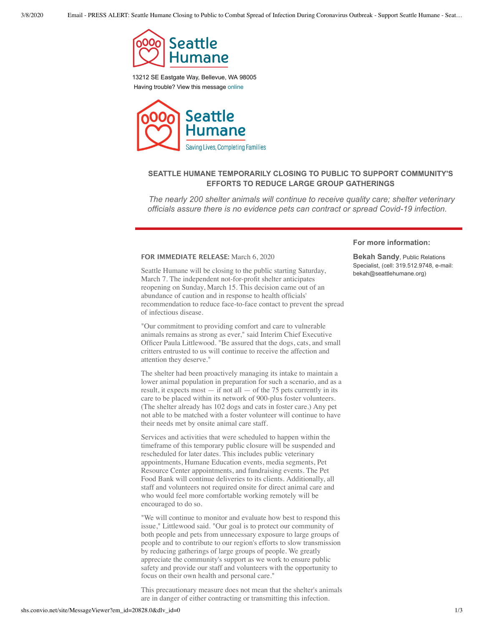

13212 SE Eastgate Way, Bellevue, WA 98005 Having trouble? View this message [online](http://shs.convio.net/site/R?i=V0nH4bvxc7FeBWgGPpvmxw)



## **SEATTLE HUMANE TEMPORARILY CLOSING TO PUBLIC TO SUPPORT COMMUNITY'S EFFORTS TO REDUCE LARGE GROUP GATHERINGS**

*The nearly 200 shelter animals will continue to receive quality care; shelter veterinary officials assure there is no evidence pets can contract or spread Covid-19 infection.*

## **FOR IMMEDIATE RELEASE:** March 6, 2020

Seattle Humane will be closing to the public starting Saturday, March 7. The independent not-for-profit shelter anticipates reopening on Sunday, March 15. This decision came out of an abundance of caution and in response to health officials' recommendation to reduce face-to-face contact to prevent the spread of infectious disease.

"Our commitment to providing comfort and care to vulnerable animals remains as strong as ever," said Interim Chief Executive Officer Paula Littlewood. "Be assured that the dogs, cats, and small critters entrusted to us will continue to receive the affection and attention they deserve."

The shelter had been proactively managing its intake to maintain a lower animal population in preparation for such a scenario, and as a result, it expects most  $-$  if not all  $-$  of the 75 pets currently in its care to be placed within its network of 900-plus foster volunteers. (The shelter already has 102 dogs and cats in foster care.) Any pet not able to be matched with a foster volunteer will continue to have their needs met by onsite animal care staff.

Services and activities that were scheduled to happen within the timeframe of this temporary public closure will be suspended and rescheduled for later dates. This includes public veterinary appointments, Humane Education events, media segments, Pet Resource Center appointments, and fundraising events. The Pet Food Bank will continue deliveries to its clients. Additionally, all staff and volunteers not required onsite for direct animal care and who would feel more comfortable working remotely will be encouraged to do so.

"We will continue to monitor and evaluate how best to respond this issue," Littlewood said. "Our goal is to protect our community of both people and pets from unnecessary exposure to large groups of people and to contribute to our region's efforts to slow transmission by reducing gatherings of large groups of people. We greatly appreciate the community's support as we work to ensure public safety and provide our staff and volunteers with the opportunity to focus on their own health and personal care."

This precautionary measure does not mean that the shelter's animals are in danger of either contracting or transmitting this infection.

## **For more information:**

**Bekah Sandy**, Public Relations Specialist, (cell: 319.512.9748, e-mail: bekah@seattlehumane.org)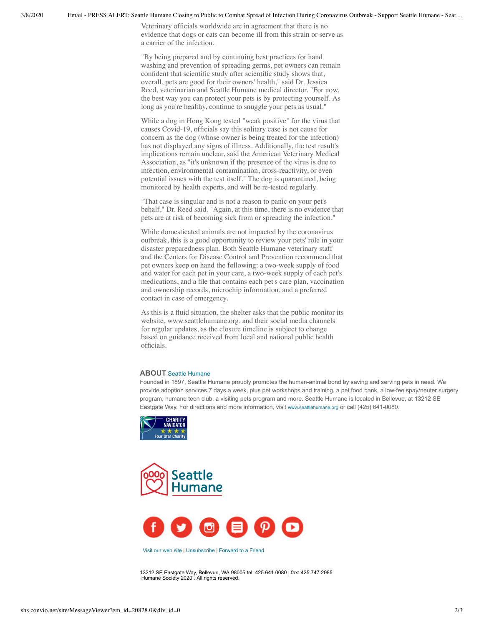3/8/2020 Email - PRESS ALERT: Seattle Humane Closing to Public to Combat Spread of Infection During Coronavirus Outbreak - Support Seattle Humane - Seat…

Veterinary officials worldwide are in agreement that there is no evidence that dogs or cats can become ill from this strain or serve as a carrier of the infection.

"By being prepared and by continuing best practices for hand washing and prevention of spreading germs, pet owners can remain confident that scientific study after scientific study shows that, overall, pets are good for their owners' health," said Dr. Jessica Reed, veterinarian and Seattle Humane medical director. "For now, the best way you can protect your pets is by protecting yourself. As long as you're healthy, continue to snuggle your pets as usual."

While a dog in Hong Kong tested "weak positive" for the virus that causes Covid-19, officials say this solitary case is not cause for concern as the dog (whose owner is being treated for the infection) has not displayed any signs of illness. Additionally, the test result's implications remain unclear, said the American Veterinary Medical Association, as "it's unknown if the presence of the virus is due to infection, environmental contamination, cross-reactivity, or even potential issues with the test itself." The dog is quarantined, being monitored by health experts, and will be re-tested regularly.

"That case is singular and is not a reason to panic on your pet's behalf," Dr. Reed said. "Again, at this time, there is no evidence that pets are at risk of becoming sick from or spreading the infection."

While domesticated animals are not impacted by the coronavirus outbreak, this is a good opportunity to review your pets' role in your disaster preparedness plan. Both Seattle Humane veterinary staff and the Centers for Disease Control and Prevention recommend that pet owners keep on hand the following: a two-week supply of food and water for each pet in your care, a two-week supply of each pet's medications, and a file that contains each pet's care plan, vaccination and ownership records, microchip information, and a preferred contact in case of emergency.

As this is a fluid situation, the shelter asks that the public monitor its website, www.seattlehumane.org, and their social media channels for regular updates, as the closure timeline is subject to change based on guidance received from local and national public health officials.

## **ABOUT** Seattle [Humane](http://shs.convio.net/site/R?i=n8oNOtjxFD5VZ3kZTUEMJQ)

Founded in 1897, Seattle Humane proudly promotes the human-animal bond by saving and serving pets in need. We provide adoption services 7 days a week, plus pet workshops and training, a pet food bank, a low-fee spay/neuter surgery program, humane teen club, a visiting pets program and more. Seattle Humane is located in Bellevue, at 13212 SE Eastgate Way. For directions and more information, visit [www.seattlehumane.org](http://shs.convio.net/site/R?i=IupykzZlkHzkreR8WCXu_A) or call (425) 641-0080.







[Visit](http://shs.convio.net/site/R?i=1_vJSPeyzgrwpeaMuS_qmg) our web site | [Unsubscribe](http://shs.convio.net/site/CO?i=&cid=0) | [Forward](http://shs.convio.net/site/R?i=cwuLgtLkuRrRP9GmObAwFg) to a Friend

13212 SE Eastgate Way, Bellevue, WA 98005 tel: 425.641.0080 | fax: 425.747.2985 Humane Society 2020 . All rights reserved.